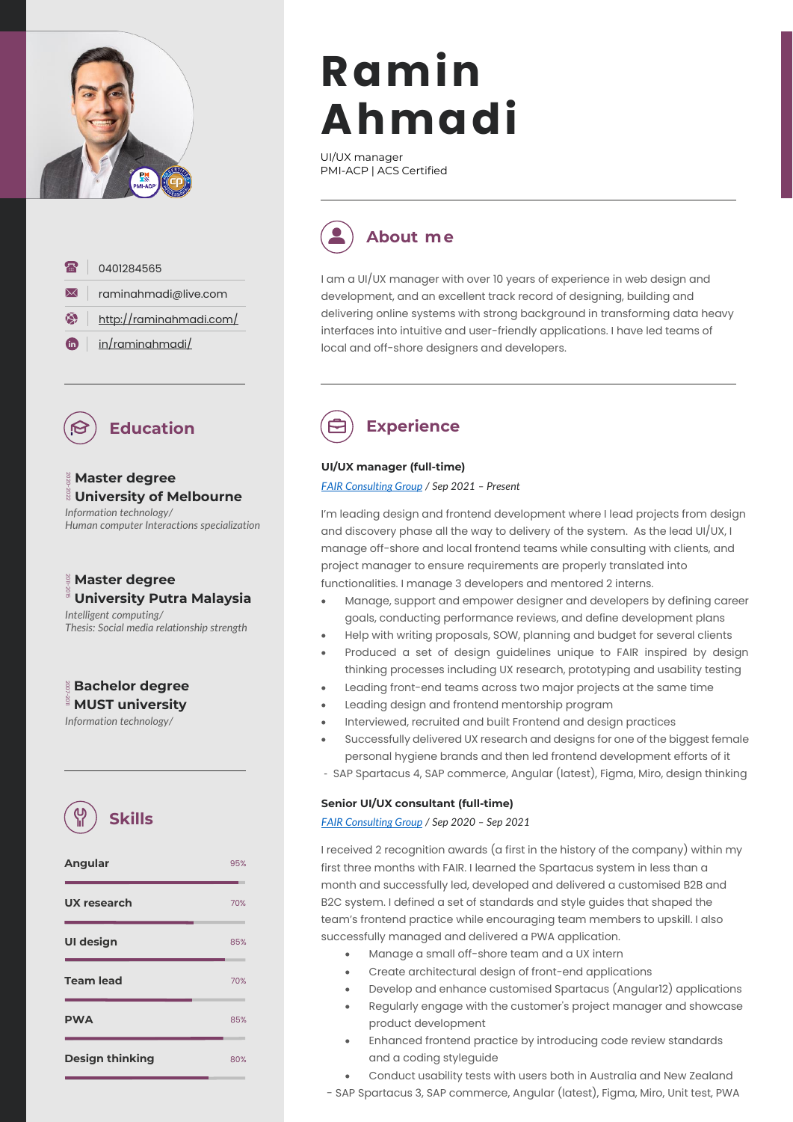

| $\mathbf{F}$   | 0401284565                 |
|----------------|----------------------------|
| $\bowtie$ 1    | raminahmadi@live.com       |
| $\sum_{i=1}^n$ | http://raminahmadi.com/    |
|                | $\bigcirc$ in/raminahmadi/ |



### **Master degree University of Melbourne**

*Information technology/* **Human computer Interactions specialization** 



*Intelligent computing/*

## **Bachelor degree MUST university**

*Information technology/* 



| <b>Angular</b>         | 95% |
|------------------------|-----|
| UX research            | 70% |
| <b>UI design</b>       | 85% |
| <b>Team lead</b>       | 70% |
| <b>PWA</b>             | 85% |
| <b>Design thinking</b> |     |

# **Ramin Ahmadi**

UI/UX manager PMI-ACP | ACS Certified



I am a UI/UX manager with over 10 years of experience in web design and development, and an excellent track record of designing, building and delivering online systems with strong background in transforming data heavy interfaces into intuitive and user-friendly applications. I have led teams of local and off-shore designers and developers.

## **Experience**

#### **UI/UX manager (full-time)**

*[FAIR Consulting Group](https://faircg.com/) / Sep 2021 – Present*

I'm leading design and frontend development where I lead projects from design and discovery phase all the way to delivery of the system. As the lead UI/UX, I manage off-shore and local frontend teams while consulting with clients, and project manager to ensure requirements are properly translated into functionalities. I manage 3 developers and mentored 2 interns.

- Manage, support and empower designer and developers by defining career goals, conducting performance reviews, and define development plans
- Help with writing proposals, SOW, planning and budget for several clients
- Produced a set of design guidelines unique to FAIR inspired by design thinking processes including UX research, prototyping and usability testing
- Leading front-end teams across two major projects at the same time
- Leading design and frontend mentorship program
- Interviewed, recruited and built Frontend and design practices
- Successfully delivered UX research and designs for one of the biggest female personal hygiene brands and then led frontend development efforts of it
- SAP Spartacus 4, SAP commerce, Angular (latest), Figma, Miro, design thinking

#### **Senior UI/UX consultant (full-time)**

*[FAIR Consulting Group](https://faircg.com/) / Sep 2020 – Sep 2021*

I received 2 recognition awards (a first in the history of the company) within my first three months with FAIR. I learned the Spartacus system in less than a month and successfully led, developed and delivered a customised B2B and B2C system. I defined a set of standards and style guides that shaped the team's frontend practice while encouraging team members to upskill. I also successfully managed and delivered a PWA application.

- Manage a small off-shore team and a UX intern
- Create architectural design of front-end applications
- Develop and enhance customised Spartacus (Angular12) applications
- Regularly engage with the customer's project manager and showcase product development
- Enhanced frontend practice by introducing code review standards and a coding styleguide
- Conduct usability tests with users both in Australia and New Zealand
- SAP Spartacus 3, SAP commerce, Angular (latest), Figma, Miro, Unit test, PWA